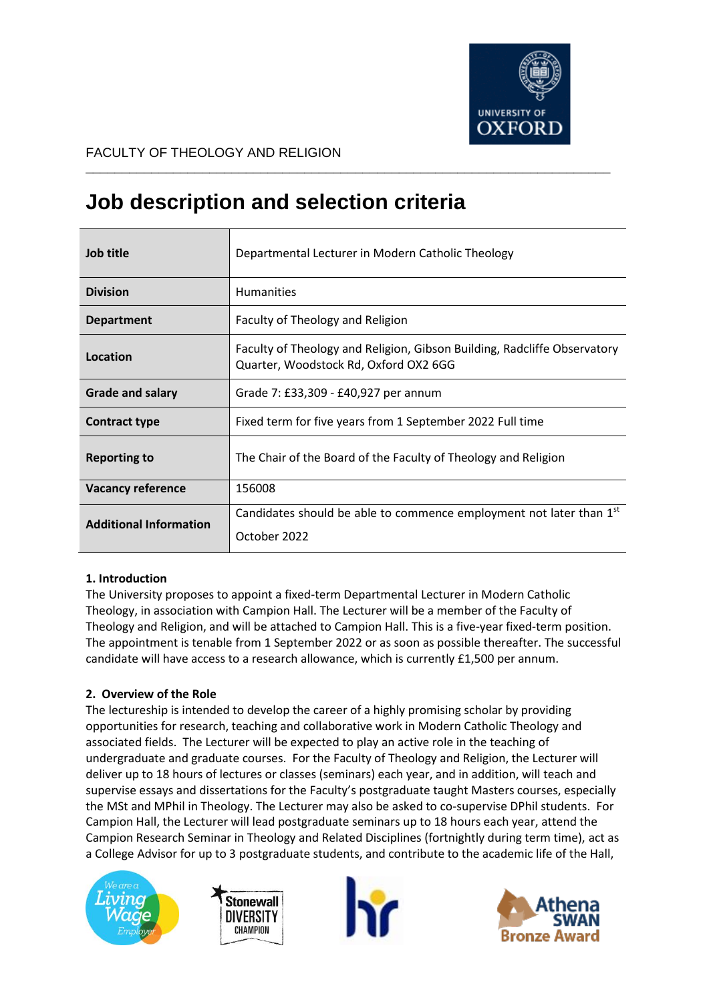

## FACULTY OF THEOLOGY AND RELIGION

# **Job description and selection criteria**

| Job title                     | Departmental Lecturer in Modern Catholic Theology                                                                 |
|-------------------------------|-------------------------------------------------------------------------------------------------------------------|
| <b>Division</b>               | <b>Humanities</b>                                                                                                 |
| <b>Department</b>             | Faculty of Theology and Religion                                                                                  |
| Location                      | Faculty of Theology and Religion, Gibson Building, Radcliffe Observatory<br>Quarter, Woodstock Rd, Oxford OX2 6GG |
| <b>Grade and salary</b>       | Grade 7: £33,309 - £40,927 per annum                                                                              |
| <b>Contract type</b>          | Fixed term for five years from 1 September 2022 Full time                                                         |
| <b>Reporting to</b>           | The Chair of the Board of the Faculty of Theology and Religion                                                    |
| <b>Vacancy reference</b>      | 156008                                                                                                            |
| <b>Additional Information</b> | Candidates should be able to commence employment not later than 1 <sup>st</sup><br>October 2022                   |

**\_\_\_\_\_\_\_\_\_\_\_\_\_\_\_\_\_\_\_\_\_\_\_\_\_\_\_\_\_\_\_\_\_\_\_\_\_\_\_\_\_\_\_\_\_\_\_\_\_\_\_\_\_\_\_\_\_\_\_\_\_\_\_\_\_\_\_\_\_\_\_\_**

# **1. Introduction**

The University proposes to appoint a fixed-term Departmental Lecturer in Modern Catholic Theology, in association with Campion Hall. The Lecturer will be a member of the Faculty of Theology and Religion, and will be attached to Campion Hall. This is a five-year fixed-term position. The appointment is tenable from 1 September 2022 or as soon as possible thereafter. The successful candidate will have access to a research allowance, which is currently £1,500 per annum.

# **2. Overview of the Role**

The lectureship is intended to develop the career of a highly promising scholar by providing opportunities for research, teaching and collaborative work in Modern Catholic Theology and associated fields. The Lecturer will be expected to play an active role in the teaching of undergraduate and graduate courses. For the Faculty of Theology and Religion, the Lecturer will deliver up to 18 hours of lectures or classes (seminars) each year, and in addition, will teach and supervise essays and dissertations for the Faculty's postgraduate taught Masters courses, especially the MSt and MPhil in Theology. The Lecturer may also be asked to co-supervise DPhil students. For Campion Hall, the Lecturer will lead postgraduate seminars up to 18 hours each year, attend the Campion Research Seminar in Theology and Related Disciplines (fortnightly during term time), act as a College Advisor for up to 3 postgraduate students, and contribute to the academic life of the Hall,







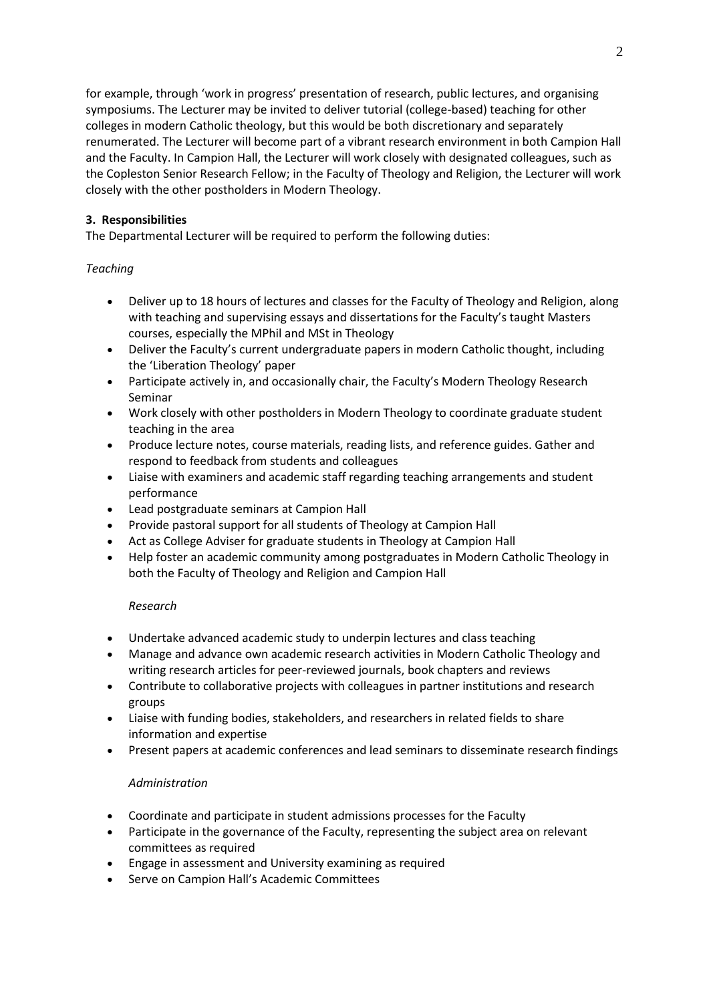for example, through 'work in progress' presentation of research, public lectures, and organising symposiums. The Lecturer may be invited to deliver tutorial (college-based) teaching for other colleges in modern Catholic theology, but this would be both discretionary and separately renumerated. The Lecturer will become part of a vibrant research environment in both Campion Hall and the Faculty. In Campion Hall, the Lecturer will work closely with designated colleagues, such as the Copleston Senior Research Fellow; in the Faculty of Theology and Religion, the Lecturer will work closely with the other postholders in Modern Theology.

# **3. Responsibilities**

The Departmental Lecturer will be required to perform the following duties:

# *Teaching*

- Deliver up to 18 hours of lectures and classes for the Faculty of Theology and Religion, along with teaching and supervising essays and dissertations for the Faculty's taught Masters courses, especially the MPhil and MSt in Theology
- Deliver the Faculty's current undergraduate papers in modern Catholic thought, including the 'Liberation Theology' paper
- Participate actively in, and occasionally chair, the Faculty's Modern Theology Research Seminar
- Work closely with other postholders in Modern Theology to coordinate graduate student teaching in the area
- Produce lecture notes, course materials, reading lists, and reference guides. Gather and respond to feedback from students and colleagues
- Liaise with examiners and academic staff regarding teaching arrangements and student performance
- Lead postgraduate seminars at Campion Hall
- Provide pastoral support for all students of Theology at Campion Hall
- Act as College Adviser for graduate students in Theology at Campion Hall
- Help foster an academic community among postgraduates in Modern Catholic Theology in both the Faculty of Theology and Religion and Campion Hall

# *Research*

- Undertake advanced academic study to underpin lectures and class teaching
- Manage and advance own academic research activities in Modern Catholic Theology and writing research articles for peer-reviewed journals, book chapters and reviews
- Contribute to collaborative projects with colleagues in partner institutions and research groups
- Liaise with funding bodies, stakeholders, and researchers in related fields to share information and expertise
- Present papers at academic conferences and lead seminars to disseminate research findings

# *Administration*

- Coordinate and participate in student admissions processes for the Faculty
- Participate in the governance of the Faculty, representing the subject area on relevant committees as required
- Engage in assessment and University examining as required
- Serve on Campion Hall's Academic Committees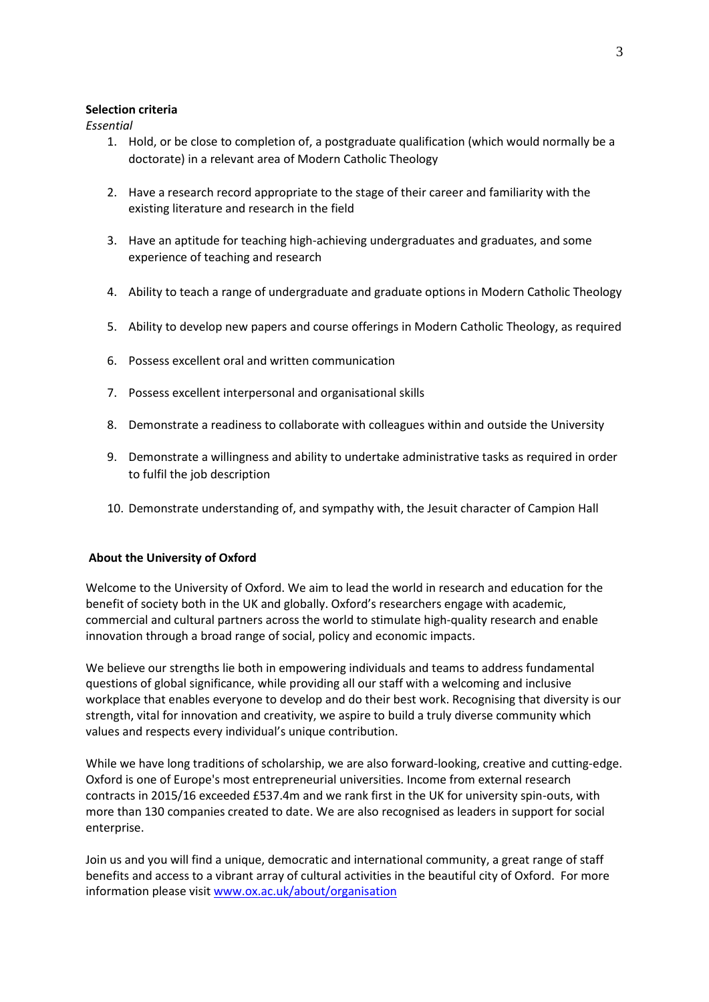## **Selection criteria**

*Essential*

- 1. Hold, or be close to completion of, a postgraduate qualification (which would normally be a doctorate) in a relevant area of Modern Catholic Theology
- 2. Have a research record appropriate to the stage of their career and familiarity with the existing literature and research in the field
- 3. Have an aptitude for teaching high-achieving undergraduates and graduates, and some experience of teaching and research
- 4. Ability to teach a range of undergraduate and graduate options in Modern Catholic Theology
- 5. Ability to develop new papers and course offerings in Modern Catholic Theology, as required
- 6. Possess excellent oral and written communication
- 7. Possess excellent interpersonal and organisational skills
- 8. Demonstrate a readiness to collaborate with colleagues within and outside the University
- 9. Demonstrate a willingness and ability to undertake administrative tasks as required in order to fulfil the job description
- 10. Demonstrate understanding of, and sympathy with, the Jesuit character of Campion Hall

## **About the University of Oxford**

Welcome to the University of Oxford. We aim to lead the world in research and education for the benefit of society both in the UK and globally. Oxford's researchers engage with academic, commercial and cultural partners across the world to stimulate high-quality research and enable innovation through a broad range of social, policy and economic impacts.

We believe our strengths lie both in empowering individuals and teams to address fundamental questions of global significance, while providing all our staff with a welcoming and inclusive workplace that enables everyone to develop and do their best work. Recognising that diversity is our strength, vital for innovation and creativity, we aspire to build a truly diverse community which values and respects every individual's unique contribution.

While we have long traditions of scholarship, we are also forward-looking, creative and cutting-edge. Oxford is one of Europe's most entrepreneurial universities. Income from external research contracts in 2015/16 exceeded £537.4m and we rank first in the UK for university spin-outs, with more than 130 companies created to date. We are also recognised as leaders in support for social enterprise.

Join us and you will find a unique, democratic and international community, a great range of staff benefits and access to a vibrant array of cultural activities in the beautiful city of Oxford. For more information please visi[t www.ox.ac.uk/about/organisation](http://www.ox.ac.uk/about/organisation)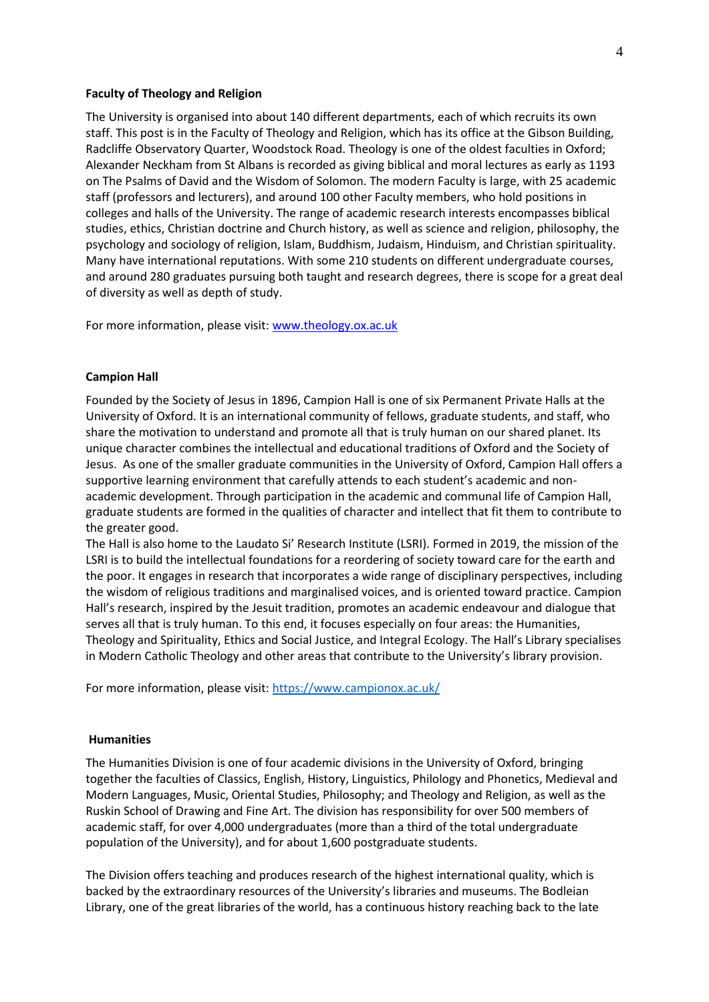## **Faculty of Theology and Religion**

The University is organised into about 140 different departments, each of which recruits its own staff. This post is in the Faculty of Theology and Religion, which has its office at the Gibson Building, Radcliffe Observatory Quarter, Woodstock Road. Theology is one of the oldest faculties in Oxford; Alexander Neckham from St Albans is recorded as giving biblical and moral lectures as early as 1193 on The Psalms of David and the Wisdom of Solomon. The modern Faculty is large, with 25 academic staff (professors and lecturers), and around 100 other Faculty members, who hold positions in colleges and halls of the University. The range of academic research interests encompasses biblical studies, ethics, Christian doctrine and Church history, as well as science and religion, philosophy, the psychology and sociology of religion, Islam, Buddhism, Judaism, Hinduism, and Christian spirituality. Many have international reputations. With some 210 students on different undergraduate courses, and around 280 graduates pursuing both taught and research degrees, there is scope for a great deal of diversity as well as depth of study.

For more information, please visit[: www.theology.ox.ac.uk](http://www.theology.ox.ac.uk/)

#### **Campion Hall**

Founded by the Society of Jesus in 1896, Campion Hall is one of six Permanent Private Halls at the University of Oxford. It is an international community of fellows, graduate students, and staff, who share the motivation to understand and promote all that is truly human on our shared planet. Its unique character combines the intellectual and educational traditions of Oxford and the Society of Jesus. As one of the smaller graduate communities in the University of Oxford, Campion Hall offers a supportive learning environment that carefully attends to each student's academic and nonacademic development. Through participation in the academic and communal life of Campion Hall, graduate students are formed in the qualities of character and intellect that fit them to contribute to the greater good.

The Hall is also home to the Laudato Si' Research Institute (LSRI). Formed in 2019, the mission of the LSRI is to build the intellectual foundations for a reordering of society toward care for the earth and the poor. It engages in research that incorporates a wide range of disciplinary perspectives, including the wisdom of religious traditions and marginalised voices, and is oriented toward practice. Campion Hall's research, inspired by the Jesuit tradition, promotes an academic endeavour and dialogue that serves all that is truly human. To this end, it focuses especially on four areas: the Humanities, Theology and Spirituality, Ethics and Social Justice, and Integral Ecology. The Hall's Library specialises in Modern Catholic Theology and other areas that contribute to the University's library provision.

For more information, please visit[: https://www.campionox.ac.uk/](https://www.campionox.ac.uk/)

## **Humanities**

The Humanities Division is one of four academic divisions in the University of Oxford, bringing together the faculties of Classics, English, History, Linguistics, Philology and Phonetics, Medieval and Modern Languages, Music, Oriental Studies, Philosophy; and Theology and Religion, as well as the Ruskin School of Drawing and Fine Art. The division has responsibility for over 500 members of academic staff, for over 4,000 undergraduates (more than a third of the total undergraduate population of the University), and for about 1,600 postgraduate students.

The Division offers teaching and produces research of the highest international quality, which is backed by the extraordinary resources of the University's libraries and museums. The Bodleian Library, one of the great libraries of the world, has a continuous history reaching back to the late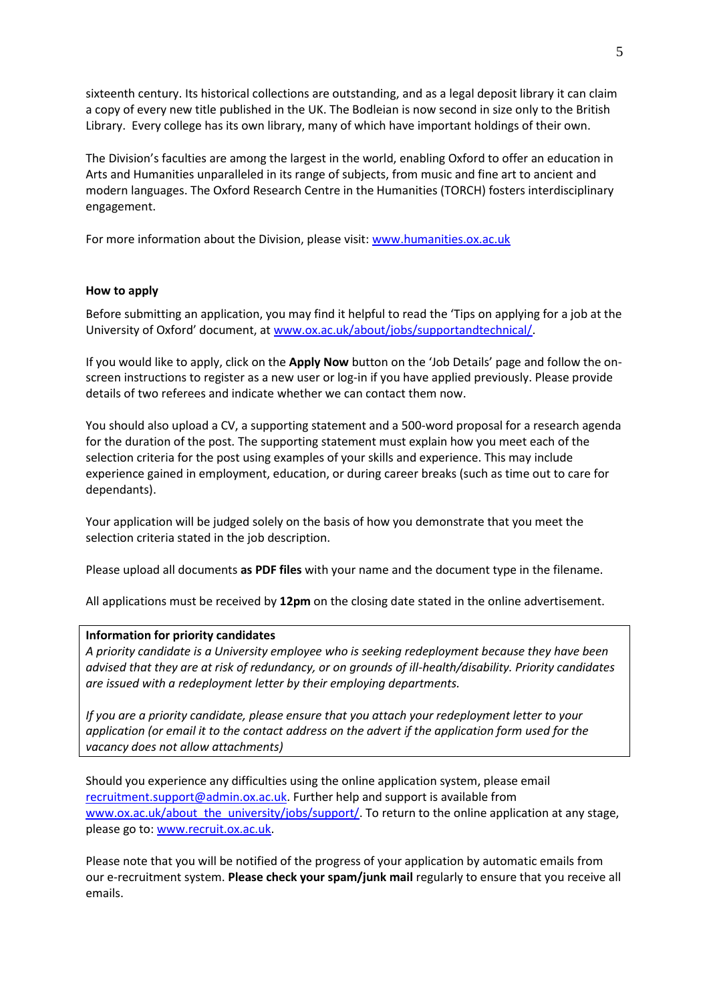sixteenth century. Its historical collections are outstanding, and as a legal deposit library it can claim a copy of every new title published in the UK. The Bodleian is now second in size only to the British Library. Every college has its own library, many of which have important holdings of their own.

The Division's faculties are among the largest in the world, enabling Oxford to offer an education in Arts and Humanities unparalleled in its range of subjects, from music and fine art to ancient and modern languages. The Oxford Research Centre in the Humanities (TORCH) fosters interdisciplinary engagement.

For more information about the Division, please visit[: www.humanities.ox.ac.uk](http://www.humanities.ox.ac.uk/)

## **How to apply**

Before submitting an application, you may find it helpful to read the 'Tips on applying for a job at the University of Oxford' document, at [www.ox.ac.uk/about/jobs/supportandtechnical/.](http://www.ox.ac.uk/about/jobs/supportandtechnical/)

If you would like to apply, click on the **Apply Now** button on the 'Job Details' page and follow the onscreen instructions to register as a new user or log-in if you have applied previously. Please provide details of two referees and indicate whether we can contact them now.

You should also upload a CV, a supporting statement and a 500-word proposal for a research agenda for the duration of the post. The supporting statement must explain how you meet each of the selection criteria for the post using examples of your skills and experience. This may include experience gained in employment, education, or during career breaks (such as time out to care for dependants).

Your application will be judged solely on the basis of how you demonstrate that you meet the selection criteria stated in the job description.

Please upload all documents **as PDF files** with your name and the document type in the filename.

All applications must be received by **12pm** on the closing date stated in the online advertisement.

## **Information for priority candidates**

*A priority candidate is a University employee who is seeking redeployment because they have been advised that they are at risk of redundancy, or on grounds of ill-health/disability. Priority candidates are issued with a redeployment letter by their employing departments.*

*If you are a priority candidate, please ensure that you attach your redeployment letter to your application (or email it to the contact address on the advert if the application form used for the vacancy does not allow attachments)* 

Should you experience any difficulties using the online application system, please email [recruitment.support@admin.ox.ac.uk.](mailto:recruitment.support@admin.ox.ac.uk) Further help and support is available from www.ox.ac.uk/about the university/jobs/support/. To return to the online application at any stage, please go to[: www.recruit.ox.ac.uk.](http://www.recruit.ox.ac.uk/)

Please note that you will be notified of the progress of your application by automatic emails from our e-recruitment system. **Please check your spam/junk mail** regularly to ensure that you receive all emails.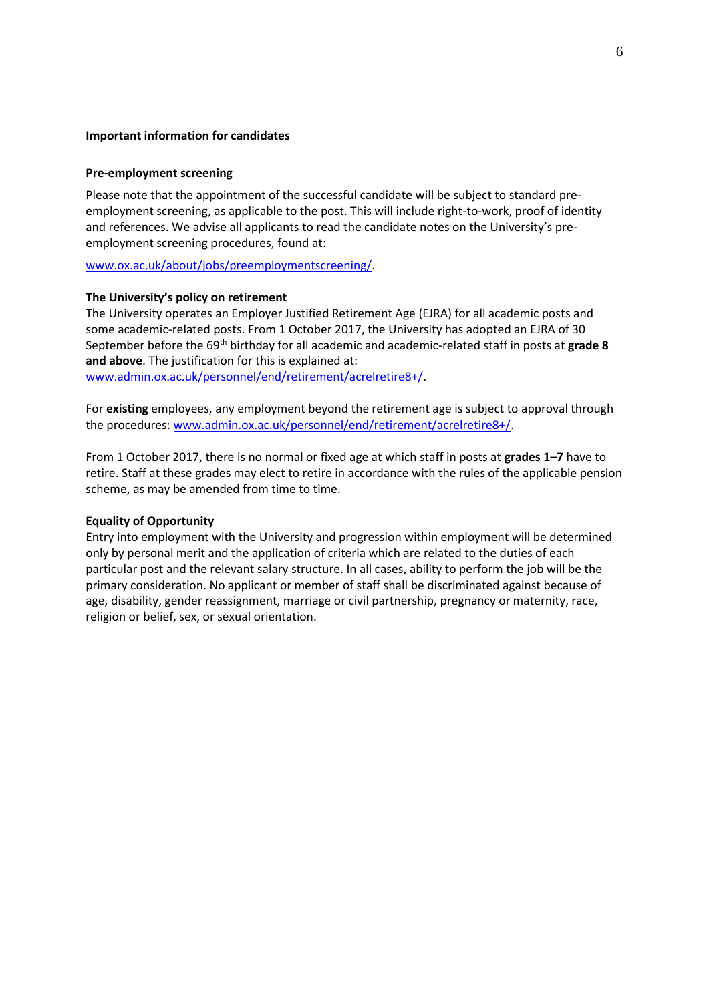## **Important information for candidates**

## **Pre-employment screening**

Please note that the appointment of the successful candidate will be subject to standard preemployment screening, as applicable to the post. This will include right-to-work, proof of identity and references. We advise all applicants to read the candidate notes on the University's preemployment screening procedures, found at:

[www.ox.ac.uk/about/jobs/preemploymentscreening/.](http://www.ox.ac.uk/about/jobs/preemploymentscreening/)

## **The University's policy on retirement**

The University operates an Employer Justified Retirement Age (EJRA) for all academic posts and some academic-related posts. From 1 October 2017, the University has adopted an EJRA of 30 September before the 69th birthday for all academic and academic-related staff in posts at **grade 8 and above**. The justification for this is explained at: [www.admin.ox.ac.uk/personnel/end/retirement/acrelretire8+/.](http://www.admin.ox.ac.uk/personnel/end/retirement/acrelretire8+/)

For **existing** employees, any employment beyond the retirement age is subject to approval through the procedures[: www.admin.ox.ac.uk/personnel/end/retirement/acrelretire8+/.](http://www.admin.ox.ac.uk/personnel/end/retirement/acrelretire8+/)

From 1 October 2017, there is no normal or fixed age at which staff in posts at **grades 1–7** have to retire. Staff at these grades may elect to retire in accordance with the rules of the applicable pension scheme, as may be amended from time to time.

## **Equality of Opportunity**

Entry into employment with the University and progression within employment will be determined only by personal merit and the application of criteria which are related to the duties of each particular post and the relevant salary structure. In all cases, ability to perform the job will be the primary consideration. No applicant or member of staff shall be discriminated against because of age, disability, gender reassignment, marriage or civil partnership, pregnancy or maternity, race, religion or belief, sex, or sexual orientation.